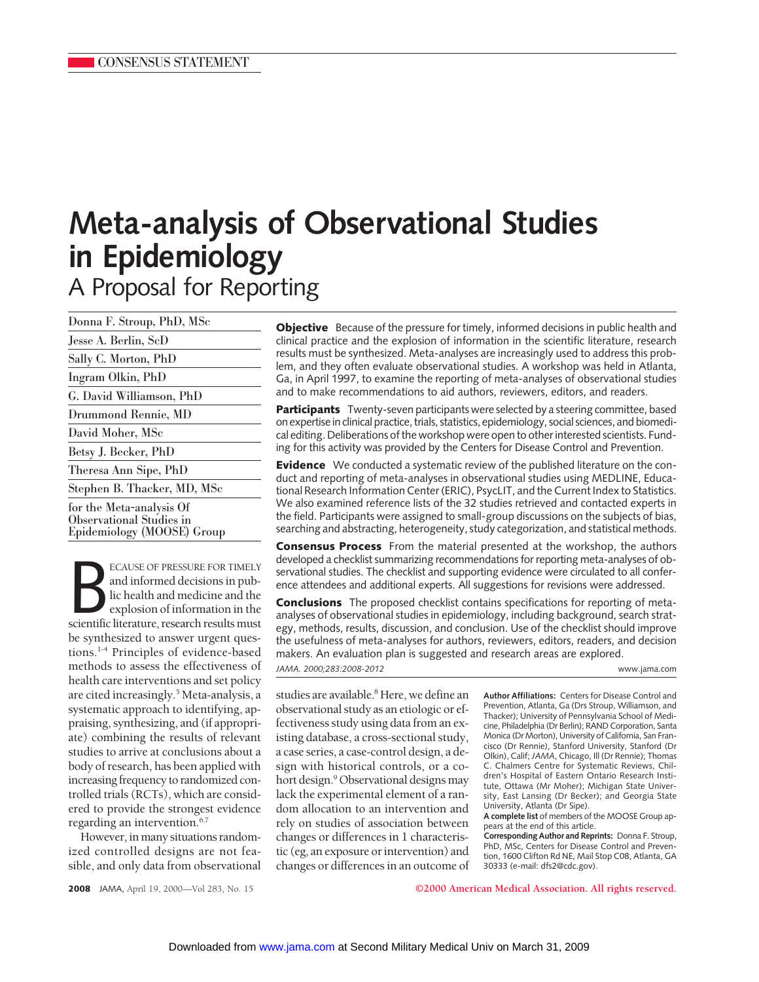# **Meta-analysis of Observational Studies in Epidemiology** A Proposal for Reporting

| Donna F. Stroup, PhD, MSc                                   |  |  |
|-------------------------------------------------------------|--|--|
| Jesse A. Berlin, ScD                                        |  |  |
| Sally C. Morton, PhD                                        |  |  |
| Ingram Olkin, PhD                                           |  |  |
| G. David Williamson, PhD                                    |  |  |
| Drummond Rennie, MD                                         |  |  |
| David Moher, MSc                                            |  |  |
| Betsy J. Becker, PhD                                        |  |  |
| Theresa Ann Sipe, PhD                                       |  |  |
| Stephen B. Thacker, MD, MSc                                 |  |  |
| for the Meta-analysis Of<br><b>Observational Studies in</b> |  |  |
| Epidemiology (MOOSE) Group                                  |  |  |

ECAUSE OF PRESSURE FOR TIMELY<br>
and informed decisions in pub-<br>
ic health and medicine and the<br>
explosion of information in the<br>
scientific literature, research results must ECAUSE OF PRESSURE FOR TIMELY and informed decisions in public health and medicine and the explosion of information in the be synthesized to answer urgent questions.1-4 Principles of evidence-based methods to assess the effectiveness of health care interventions and set policy are cited increasingly.<sup>5</sup> Meta-analysis, a systematic approach to identifying, appraising, synthesizing, and (if appropriate) combining the results of relevant studies to arrive at conclusions about a body of research, has been applied with increasing frequency to randomized controlled trials (RCTs), which are considered to provide the strongest evidence regarding an intervention.<sup>6,7</sup>

However, in many situations randomized controlled designs are not feasible, and only data from observational **Objective** Because of the pressure for timely, informed decisions in public health and clinical practice and the explosion of information in the scientific literature, research results must be synthesized. Meta-analyses are increasingly used to address this problem, and they often evaluate observational studies. A workshop was held in Atlanta, Ga, in April 1997, to examine the reporting of meta-analyses of observational studies and to make recommendations to aid authors, reviewers, editors, and readers.

**Participants** Twenty-seven participants were selected by a steering committee, based on expertise in clinical practice, trials, statistics, epidemiology, social sciences, and biomedical editing. Deliberations of the workshop were open to other interested scientists. Funding for this activity was provided by the Centers for Disease Control and Prevention.

**Evidence** We conducted a systematic review of the published literature on the conduct and reporting of meta-analyses in observational studies using MEDLINE, Educational Research Information Center (ERIC), PsycLIT, and the Current Index to Statistics. We also examined reference lists of the 32 studies retrieved and contacted experts in the field. Participants were assigned to small-group discussions on the subjects of bias, searching and abstracting, heterogeneity, study categorization, and statistical methods.

**Consensus Process** From the material presented at the workshop, the authors developed a checklist summarizing recommendations for reporting meta-analyses of observational studies. The checklist and supporting evidence were circulated to all conference attendees and additional experts. All suggestions for revisions were addressed.

**Conclusions** The proposed checklist contains specifications for reporting of metaanalyses of observational studies in epidemiology, including background, search strategy, methods, results, discussion, and conclusion. Use of the checklist should improve the usefulness of meta-analyses for authors, reviewers, editors, readers, and decision makers. An evaluation plan is suggested and research areas are explored. *JAMA. 2000;283:2008-2012* www.jama.com

studies are available.<sup>8</sup> Here, we define an observational study as an etiologic or effectiveness study using data from an existing database, a cross-sectional study, a case series, a case-control design, a design with historical controls, or a cohort design.<sup>9</sup> Observational designs may lack the experimental element of a random allocation to an intervention and rely on studies of association between changes or differences in 1 characteristic (eg, an exposure or intervention) and changes or differences in an outcome of

**Author Affiliations:** Centers for Disease Control and Prevention, Atlanta, Ga (Drs Stroup, Williamson, and Thacker); University of Pennsylvania School of Medicine, Philadelphia (Dr Berlin); RAND Corporation, Santa Monica (Dr Morton), University of California, San Francisco (Dr Rennie), Stanford University, Stanford (Dr Olkin), Calif; *JAMA*, Chicago, Ill (Dr Rennie); Thomas C. Chalmers Centre for Systematic Reviews, Children's Hospital of Eastern Ontario Research Institute, Ottawa (Mr Moher); Michigan State University, East Lansing (Dr Becker); and Georgia State University, Atlanta (Dr Sipe).

**A complete list** of members of the MOOSE Group appears at the end of this article.

**Corresponding Author and Reprints:** Donna F. Stroup, PhD, MSc, Centers for Disease Control and Prevention, 1600 Clifton Rd NE, Mail Stop C08, Atlanta, GA 30333 (e-mail: dfs2@cdc.gov).

**2008** JAMA, April 19, 2000—Vol 283, No. 15 **©2000 American Medical Association. All rights reserved.**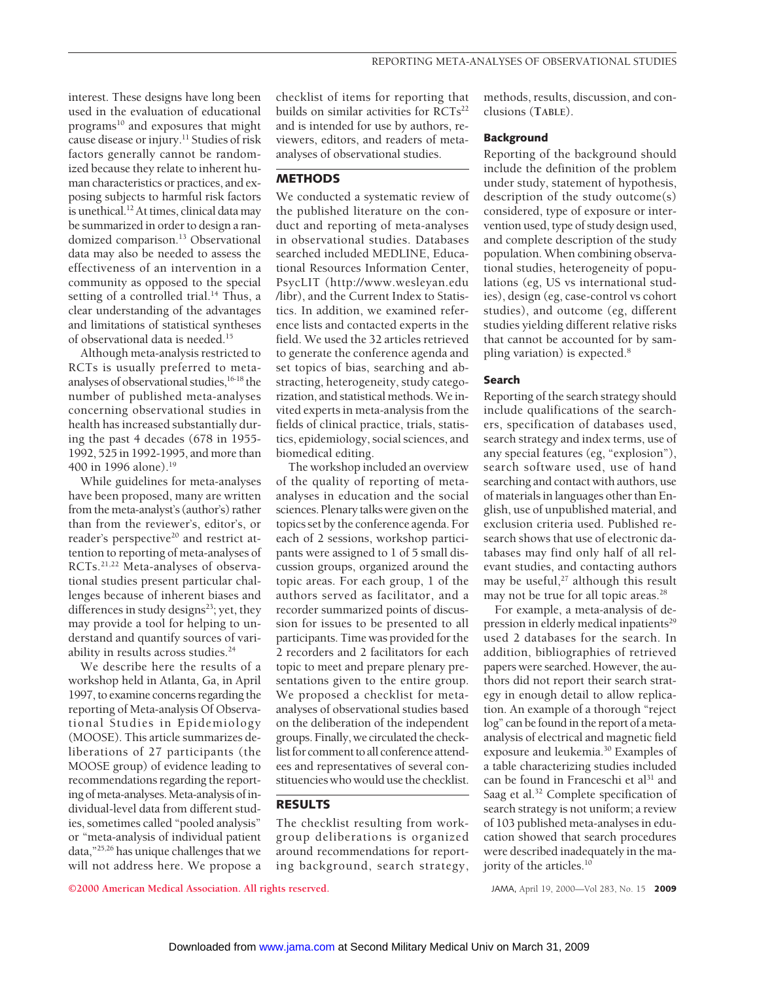interest. These designs have long been used in the evaluation of educational programs<sup>10</sup> and exposures that might cause disease or injury.<sup>11</sup> Studies of risk factors generally cannot be randomized because they relate to inherent human characteristics or practices, and exposing subjects to harmful risk factors is unethical.<sup>12</sup> At times, clinical data may be summarized in order to design a randomized comparison.<sup>13</sup> Observational data may also be needed to assess the effectiveness of an intervention in a community as opposed to the special setting of a controlled trial.<sup>14</sup> Thus, a clear understanding of the advantages and limitations of statistical syntheses of observational data is needed.15

Although meta-analysis restricted to RCTs is usually preferred to metaanalyses of observational studies, 16-18 the number of published meta-analyses concerning observational studies in health has increased substantially during the past 4 decades (678 in 1955- 1992, 525 in 1992-1995, and more than 400 in 1996 alone).<sup>19</sup>

While guidelines for meta-analyses have been proposed, many are written from the meta-analyst's (author's) rather than from the reviewer's, editor's, or reader's perspective<sup>20</sup> and restrict attention to reporting of meta-analyses of RCTs.<sup>21,22</sup> Meta-analyses of observational studies present particular challenges because of inherent biases and differences in study designs<sup>23</sup>; yet, they may provide a tool for helping to understand and quantify sources of variability in results across studies.<sup>24</sup>

We describe here the results of a workshop held in Atlanta, Ga, in April 1997, to examine concerns regarding the reporting of Meta-analysis Of Observational Studies in Epidemiology (MOOSE). This article summarizes deliberations of 27 participants (the MOOSE group) of evidence leading to recommendations regarding the reporting of meta-analyses. Meta-analysis of individual-level data from different studies, sometimes called "pooled analysis" or "meta-analysis of individual patient data,"25,26 has unique challenges that we will not address here. We propose a

checklist of items for reporting that builds on similar activities for  $RCTs^{22}$ and is intended for use by authors, reviewers, editors, and readers of metaanalyses of observational studies.

# **METHODS**

We conducted a systematic review of the published literature on the conduct and reporting of meta-analyses in observational studies. Databases searched included MEDLINE, Educational Resources Information Center, PsycLIT (http://www.wesleyan.edu /libr), and the Current Index to Statistics. In addition, we examined reference lists and contacted experts in the field. We used the 32 articles retrieved to generate the conference agenda and set topics of bias, searching and abstracting, heterogeneity, study categorization, and statistical methods. We invited experts in meta-analysis from the fields of clinical practice, trials, statistics, epidemiology, social sciences, and biomedical editing.

The workshop included an overview of the quality of reporting of metaanalyses in education and the social sciences. Plenary talks were given on the topics set by the conference agenda. For each of 2 sessions, workshop participants were assigned to 1 of 5 small discussion groups, organized around the topic areas. For each group, 1 of the authors served as facilitator, and a recorder summarized points of discussion for issues to be presented to all participants. Time was provided for the 2 recorders and 2 facilitators for each topic to meet and prepare plenary presentations given to the entire group. We proposed a checklist for metaanalyses of observational studies based on the deliberation of the independent groups. Finally, we circulated the checklist for comment to all conference attendees and representatives of several constituencies who would use the checklist.

# **RESULTS**

The checklist resulting from workgroup deliberations is organized around recommendations for reporting background, search strategy, methods, results, discussion, and conclusions (**TABLE**).

## **Background**

Reporting of the background should include the definition of the problem under study, statement of hypothesis, description of the study outcome(s) considered, type of exposure or intervention used, type of study design used, and complete description of the study population. When combining observational studies, heterogeneity of populations (eg, US vs international studies), design (eg, case-control vs cohort studies), and outcome (eg, different studies yielding different relative risks that cannot be accounted for by sampling variation) is expected.8

## **Search**

Reporting of the search strategy should include qualifications of the searchers, specification of databases used, search strategy and index terms, use of any special features (eg, "explosion"), search software used, use of hand searching and contact with authors, use of materials in languages other than English, use of unpublished material, and exclusion criteria used. Published research shows that use of electronic databases may find only half of all relevant studies, and contacting authors may be useful,<sup>27</sup> although this result may not be true for all topic areas.<sup>28</sup>

For example, a meta-analysis of depression in elderly medical inpatients<sup>29</sup> used 2 databases for the search. In addition, bibliographies of retrieved papers were searched. However, the authors did not report their search strategy in enough detail to allow replication. An example of a thorough "reject log" can be found in the report of a metaanalysis of electrical and magnetic field exposure and leukemia.30 Examples of a table characterizing studies included can be found in Franceschi et al<sup>31</sup> and Saag et al.<sup>32</sup> Complete specification of search strategy is not uniform; a review of 103 published meta-analyses in education showed that search procedures were described inadequately in the majority of the articles.<sup>10</sup>

**©2000 American Medical Association. All rights reserved.** JAMA, April 19, 2000—Vol 283, No. 15 **2009**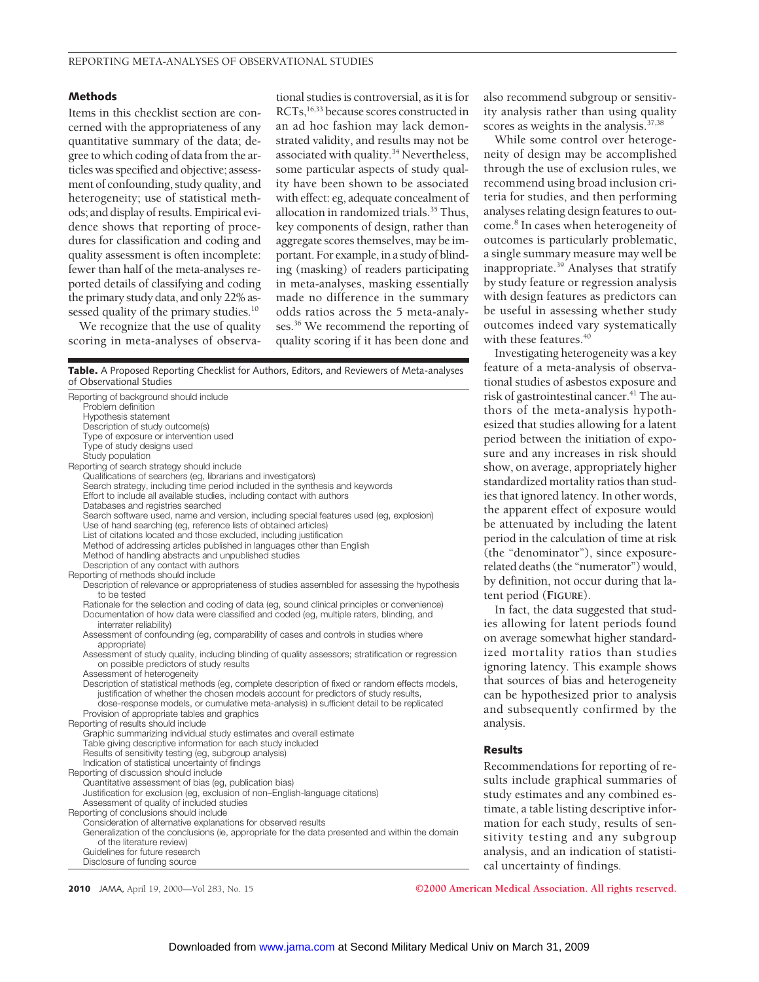## **Methods**

Items in this checklist section are concerned with the appropriateness of any quantitative summary of the data; degree to which coding of data from the articles was specified and objective; assessment of confounding, study quality, and heterogeneity; use of statistical methods; and display of results. Empirical evidence shows that reporting of procedures for classification and coding and quality assessment is often incomplete: fewer than half of the meta-analyses reported details of classifying and coding the primary study data, and only 22% assessed quality of the primary studies.<sup>10</sup>

We recognize that the use of quality scoring in meta-analyses of observational studies is controversial, as it is for RCTs,16,33 because scores constructed in an ad hoc fashion may lack demonstrated validity, and results may not be associated with quality.<sup>34</sup> Nevertheless, some particular aspects of study quality have been shown to be associated with effect: eg, adequate concealment of allocation in randomized trials.<sup>35</sup> Thus, key components of design, rather than aggregate scores themselves, may be important. For example, in a study of blinding (masking) of readers participating in meta-analyses, masking essentially made no difference in the summary odds ratios across the 5 meta-analyses.36 We recommend the reporting of quality scoring if it has been done and

| Table. A Proposed Reporting Checklist for Authors, Editors, and Reviewers of Meta-analyses<br>of Observational Studies                                                                                                                                                             |
|------------------------------------------------------------------------------------------------------------------------------------------------------------------------------------------------------------------------------------------------------------------------------------|
| Reporting of background should include                                                                                                                                                                                                                                             |
| Problem definition                                                                                                                                                                                                                                                                 |
| Hypothesis statement                                                                                                                                                                                                                                                               |
| Description of study outcome(s)                                                                                                                                                                                                                                                    |
| Type of exposure or intervention used                                                                                                                                                                                                                                              |
| Type of study designs used                                                                                                                                                                                                                                                         |
| Study population                                                                                                                                                                                                                                                                   |
| Reporting of search strategy should include                                                                                                                                                                                                                                        |
| Qualifications of searchers (eg, librarians and investigators)                                                                                                                                                                                                                     |
| Search strategy, including time period included in the synthesis and keywords                                                                                                                                                                                                      |
| Effort to include all available studies, including contact with authors                                                                                                                                                                                                            |
| Databases and registries searched                                                                                                                                                                                                                                                  |
| Search software used, name and version, including special features used (eg, explosion)                                                                                                                                                                                            |
| Use of hand searching (eg, reference lists of obtained articles)                                                                                                                                                                                                                   |
| List of citations located and those excluded, including justification                                                                                                                                                                                                              |
| Method of addressing articles published in languages other than English                                                                                                                                                                                                            |
| Method of handling abstracts and unpublished studies                                                                                                                                                                                                                               |
| Description of any contact with authors                                                                                                                                                                                                                                            |
| Reporting of methods should include                                                                                                                                                                                                                                                |
| Description of relevance or appropriateness of studies assembled for assessing the hypothesis<br>to be tested                                                                                                                                                                      |
| Rationale for the selection and coding of data (eg, sound clinical principles or convenience)                                                                                                                                                                                      |
| Documentation of how data were classified and coded (eg, multiple raters, blinding, and<br>interrater reliability)                                                                                                                                                                 |
| Assessment of confounding (eq. comparability of cases and controls in studies where                                                                                                                                                                                                |
| appropriate)<br>Assessment of study quality, including blinding of quality assessors; stratification or regression                                                                                                                                                                 |
| on possible predictors of study results                                                                                                                                                                                                                                            |
| Assessment of heterogeneity                                                                                                                                                                                                                                                        |
| Description of statistical methods (eg, complete description of fixed or random effects models,<br>justification of whether the chosen models account for predictors of study results,<br>dose-response models, or cumulative meta-analysis) in sufficient detail to be replicated |
| Provision of appropriate tables and graphics                                                                                                                                                                                                                                       |
| Reporting of results should include                                                                                                                                                                                                                                                |
| Graphic summarizing individual study estimates and overall estimate<br>Table giving descriptive information for each study included                                                                                                                                                |
|                                                                                                                                                                                                                                                                                    |
| Results of sensitivity testing (eg, subgroup analysis)                                                                                                                                                                                                                             |
| Indication of statistical uncertainty of findings<br>Reporting of discussion should include                                                                                                                                                                                        |
| Quantitative assessment of bias (eg, publication bias)                                                                                                                                                                                                                             |
| Justification for exclusion (eg, exclusion of non-English-language citations)                                                                                                                                                                                                      |
| Assessment of quality of included studies                                                                                                                                                                                                                                          |
| Reporting of conclusions should include                                                                                                                                                                                                                                            |
| Consideration of alternative explanations for observed results                                                                                                                                                                                                                     |
| Generalization of the conclusions (ie, appropriate for the data presented and within the domain<br>of the literature review)                                                                                                                                                       |
| Guidelines for future research                                                                                                                                                                                                                                                     |
| Disclosure of funding source                                                                                                                                                                                                                                                       |
|                                                                                                                                                                                                                                                                                    |

also recommend subgroup or sensitivity analysis rather than using quality scores as weights in the analysis.<sup>37,38</sup>

While some control over heterogeneity of design may be accomplished through the use of exclusion rules, we recommend using broad inclusion criteria for studies, and then performing analyses relating design features to outcome.8 In cases when heterogeneity of outcomes is particularly problematic, a single summary measure may well be inappropriate.39 Analyses that stratify by study feature or regression analysis with design features as predictors can be useful in assessing whether study outcomes indeed vary systematically with these features.<sup>40</sup>

Investigating heterogeneity was a key feature of a meta-analysis of observational studies of asbestos exposure and risk of gastrointestinal cancer.<sup>41</sup> The authors of the meta-analysis hypothesized that studies allowing for a latent period between the initiation of exposure and any increases in risk should show, on average, appropriately higher standardized mortality ratios than studies that ignored latency. In other words, the apparent effect of exposure would be attenuated by including the latent period in the calculation of time at risk (the "denominator"), since exposurerelated deaths (the "numerator") would, by definition, not occur during that latent period (**FIGURE**).

In fact, the data suggested that studies allowing for latent periods found on average somewhat higher standardized mortality ratios than studies ignoring latency. This example shows that sources of bias and heterogeneity can be hypothesized prior to analysis and subsequently confirmed by the analysis.

#### **Results**

Recommendations for reporting of results include graphical summaries of study estimates and any combined estimate, a table listing descriptive information for each study, results of sensitivity testing and any subgroup analysis, and an indication of statistical uncertainty of findings.

**2010** JAMA, April 19, 2000—Vol 283, No. 15 **©2000 American Medical Association. All rights reserved.**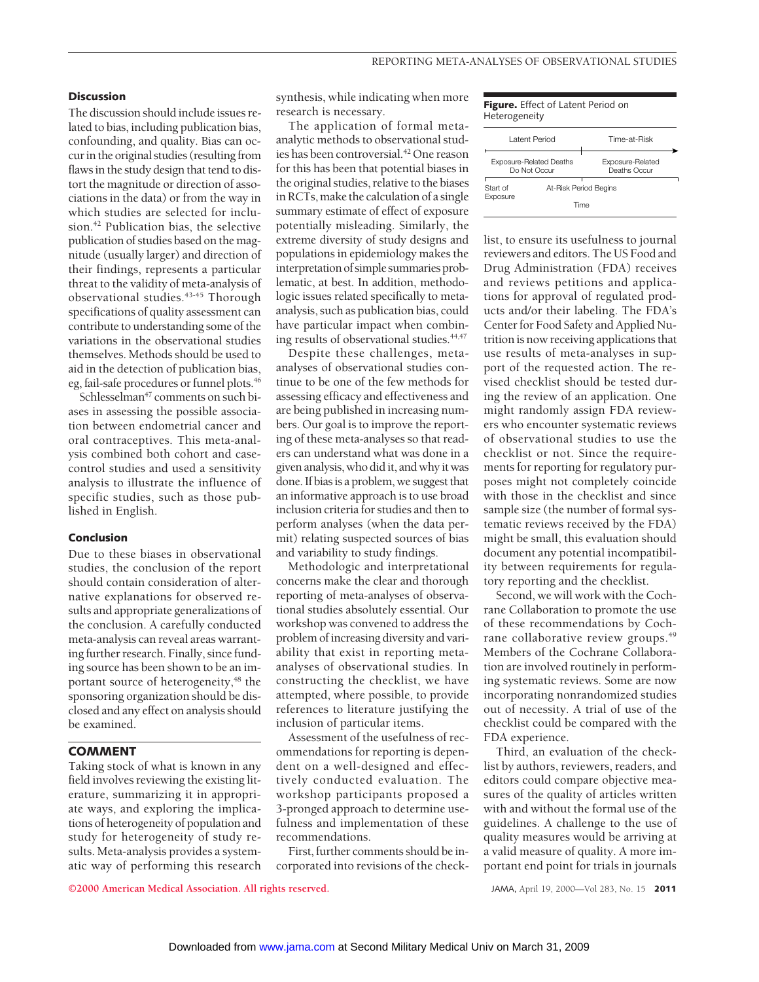## **Discussion**

The discussion should include issues related to bias, including publication bias, confounding, and quality. Bias can occur in the original studies (resulting from flaws in the study design that tend to distort the magnitude or direction of associations in the data) or from the way in which studies are selected for inclusion.42 Publication bias, the selective publication of studies based on the magnitude (usually larger) and direction of their findings, represents a particular threat to the validity of meta-analysis of observational studies.43-45 Thorough specifications of quality assessment can contribute to understanding some of the variations in the observational studies themselves. Methods should be used to aid in the detection of publication bias, eg, fail-safe procedures or funnel plots.<sup>46</sup>

Schlesselman<sup>47</sup> comments on such biases in assessing the possible association between endometrial cancer and oral contraceptives. This meta-analysis combined both cohort and casecontrol studies and used a sensitivity analysis to illustrate the influence of specific studies, such as those published in English.

## **Conclusion**

Due to these biases in observational studies, the conclusion of the report should contain consideration of alternative explanations for observed results and appropriate generalizations of the conclusion. A carefully conducted meta-analysis can reveal areas warranting further research. Finally, since funding source has been shown to be an important source of heterogeneity,<sup>48</sup> the sponsoring organization should be disclosed and any effect on analysis should be examined.

# **COMMENT**

Taking stock of what is known in any field involves reviewing the existing literature, summarizing it in appropriate ways, and exploring the implications of heterogeneity of population and study for heterogeneity of study results. Meta-analysis provides a systematic way of performing this research synthesis, while indicating when more research is necessary.

The application of formal metaanalytic methods to observational studies has been controversial.<sup>42</sup> One reason for this has been that potential biases in the original studies, relative to the biases in RCTs, make the calculation of a single summary estimate of effect of exposure potentially misleading. Similarly, the extreme diversity of study designs and populations in epidemiology makes the interpretation of simple summaries problematic, at best. In addition, methodologic issues related specifically to metaanalysis, such as publication bias, could have particular impact when combining results of observational studies.<sup>44,47</sup>

Despite these challenges, metaanalyses of observational studies continue to be one of the few methods for assessing efficacy and effectiveness and are being published in increasing numbers. Our goal is to improve the reporting of these meta-analyses so that readers can understand what was done in a given analysis, who did it, and why it was done. If bias is a problem, we suggest that an informative approach is to use broad inclusion criteria for studies and then to perform analyses (when the data permit) relating suspected sources of bias and variability to study findings.

Methodologic and interpretational concerns make the clear and thorough reporting of meta-analyses of observational studies absolutely essential. Our workshop was convened to address the problem of increasing diversity and variability that exist in reporting metaanalyses of observational studies. In constructing the checklist, we have attempted, where possible, to provide references to literature justifying the inclusion of particular items.

Assessment of the usefulness of recommendations for reporting is dependent on a well-designed and effectively conducted evaluation. The workshop participants proposed a 3-pronged approach to determine usefulness and implementation of these recommendations.

First, further comments should be incorporated into revisions of the check-

| Figure. Effect of Latent Period on<br>Heterogeneity |                       |                  |  |
|-----------------------------------------------------|-----------------------|------------------|--|
| I atent Period                                      |                       | Time-at-Risk     |  |
| <b>Exposure-Related Deaths</b>                      |                       | Exposure-Related |  |
| Do Not Occur                                        |                       | Deaths Occur     |  |
| Start of                                            | At-Risk Period Begins |                  |  |
| Exposure                                            | Time                  |                  |  |

list, to ensure its usefulness to journal reviewers and editors. The US Food and Drug Administration (FDA) receives and reviews petitions and applications for approval of regulated products and/or their labeling. The FDA's Center for Food Safety and Applied Nutrition is now receiving applications that use results of meta-analyses in support of the requested action. The revised checklist should be tested during the review of an application. One might randomly assign FDA reviewers who encounter systematic reviews of observational studies to use the checklist or not. Since the requirements for reporting for regulatory purposes might not completely coincide with those in the checklist and since sample size (the number of formal systematic reviews received by the FDA) might be small, this evaluation should document any potential incompatibility between requirements for regulatory reporting and the checklist.

Second, we will work with the Cochrane Collaboration to promote the use of these recommendations by Cochrane collaborative review groups.<sup>49</sup> Members of the Cochrane Collaboration are involved routinely in performing systematic reviews. Some are now incorporating nonrandomized studies out of necessity. A trial of use of the checklist could be compared with the FDA experience.

Third, an evaluation of the checklist by authors, reviewers, readers, and editors could compare objective measures of the quality of articles written with and without the formal use of the guidelines. A challenge to the use of quality measures would be arriving at a valid measure of quality. A more important end point for trials in journals

**©2000 American Medical Association. All rights reserved.** JAMA, April 19, 2000—Vol 283, No. 15 **2011**